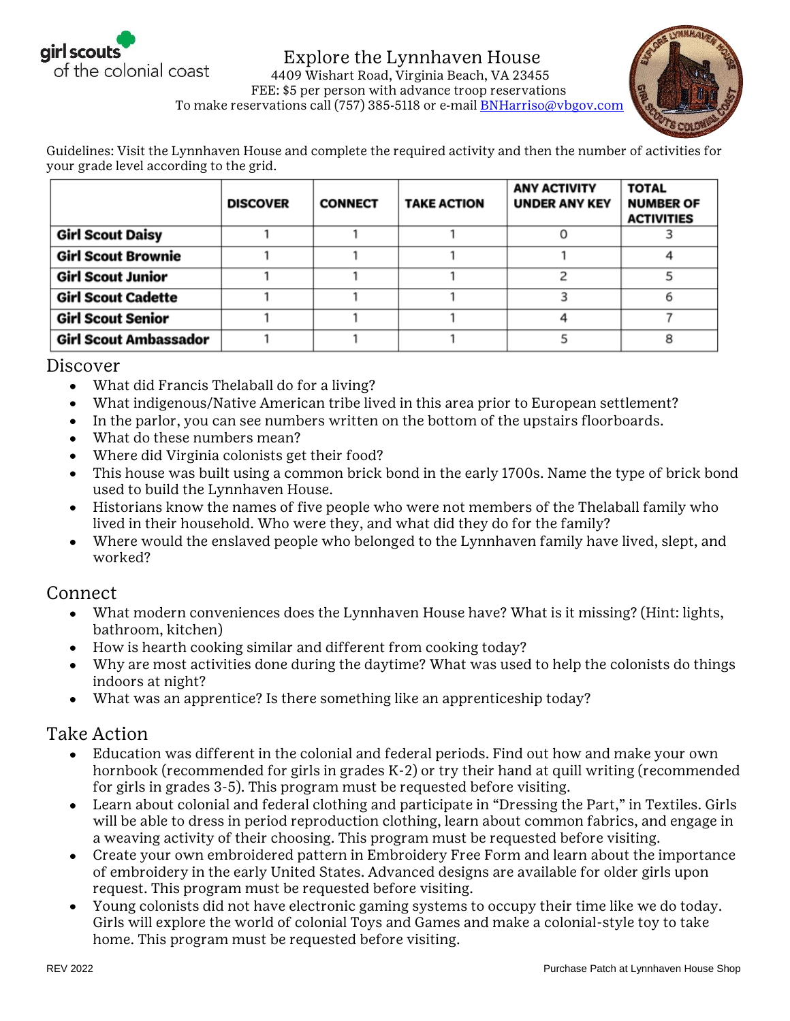

## Explore the Lynnhaven House 4409 Wishart Road, Virginia Beach, VA 23455



 FEE: \$5 per person with advance troop reservations To make reservations call (757) 385-5118 or e-mail **BNHarriso@vbgov.com** 

Guidelines: Visit the Lynnhaven House and complete the required activity and then the number of activities for your grade level according to the grid.

|                              | <b>DISCOVER</b> | <b>CONNECT</b> | <b>TAKE ACTION</b> | <b>ANY ACTIVITY</b><br><b>UNDER ANY KEY</b> | <b>TOTAL</b><br><b>NUMBER OF</b><br><b>ACTIVITIES</b> |
|------------------------------|-----------------|----------------|--------------------|---------------------------------------------|-------------------------------------------------------|
| <b>Girl Scout Daisy</b>      |                 |                |                    |                                             |                                                       |
| <b>Girl Scout Brownie</b>    |                 |                |                    |                                             |                                                       |
| <b>Girl Scout Junior</b>     |                 |                |                    |                                             |                                                       |
| <b>Girl Scout Cadette</b>    |                 |                |                    |                                             |                                                       |
| <b>Girl Scout Senior</b>     |                 |                |                    |                                             |                                                       |
| <b>Girl Scout Ambassador</b> |                 |                |                    |                                             |                                                       |

## Discover

- What did Francis Thelaball do for a living?  $\bullet$
- What indigenous/Native American tribe lived in this area prior to European settlement?
- In the parlor, you can see numbers written on the bottom of the upstairs floorboards.
- What do these numbers mean?
- Where did Virginia colonists get their food?
- This house was built using a common brick bond in the early 1700s. Name the type of brick bond used to build the Lynnhaven House.
- Historians know the names of five people who were not members of the Thelaball family who lived in their household. Who were they, and what did they do for the family?
- Where would the enslaved people who belonged to the Lynnhaven family have lived, slept, and worked?

## Connect

- What modern conveniences does the Lynnhaven House have? What is it missing? (Hint: lights,  $\bullet$ bathroom, kitchen)
- How is hearth cooking similar and different from cooking today?
- Why are most activities done during the daytime? What was used to help the colonists do things indoors at night?
- What was an apprentice? Is there something like an apprenticeship today?

## Take Action

- Education was different in the colonial and federal periods. Find out how and make your own hornbook (recommended for girls in grades K-2) or try their hand at quill writing (recommended for girls in grades 3-5). This program must be requested before visiting.
- Learn about colonial and federal clothing and participate in "Dressing the Part," in Textiles. Girls will be able to dress in period reproduction clothing, learn about common fabrics, and engage in a weaving activity of their choosing. This program must be requested before visiting.
- Create your own embroidered pattern in Embroidery Free Form and learn about the importance of embroidery in the early United States. Advanced designs are available for older girls upon request. This program must be requested before visiting.
- Young colonists did not have electronic gaming systems to occupy their time like we do today.  $\bullet$ Girls will explore the world of colonial Toys and Games and make a colonial-style toy to take home. This program must be requested before visiting.